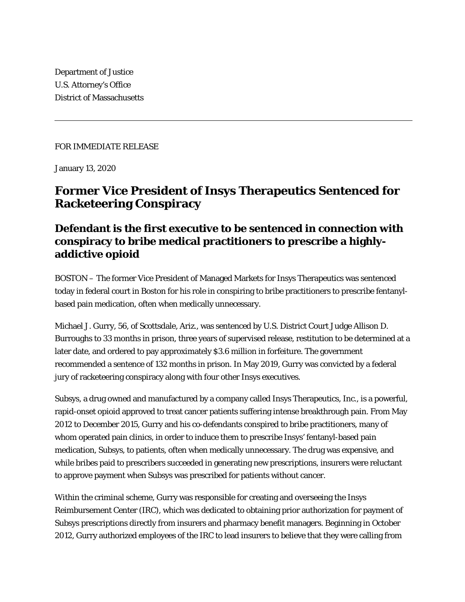Department of Justice U.S. Attorney's Office District of Massachusetts

FOR IMMEDIATE RELEASE

January 13, 2020

## **Former Vice President of Insys Therapeutics Sentenced for Racketeering Conspiracy**

## **Defendant is the first executive to be sentenced in connection with conspiracy to bribe medical practitioners to prescribe a highlyaddictive opioid**

BOSTON – The former Vice President of Managed Markets for Insys Therapeutics was sentenced today in federal court in Boston for his role in conspiring to bribe practitioners to prescribe fentanylbased pain medication, often when medically unnecessary.

Michael J. Gurry, 56, of Scottsdale, Ariz., was sentenced by U.S. District Court Judge Allison D. Burroughs to 33 months in prison, three years of supervised release, restitution to be determined at a later date, and ordered to pay approximately \$3.6 million in forfeiture. The government recommended a sentence of 132 months in prison. In May 2019, Gurry was convicted by a federal jury of racketeering conspiracy along with four other Insys executives.

Subsys, a drug owned and manufactured by a company called Insys Therapeutics, Inc., is a powerful, rapid-onset opioid approved to treat cancer patients suffering intense breakthrough pain. From May 2012 to December 2015, Gurry and his co-defendants conspired to bribe practitioners, many of whom operated pain clinics, in order to induce them to prescribe Insys' fentanyl-based pain medication, Subsys, to patients, often when medically unnecessary. The drug was expensive, and while bribes paid to prescribers succeeded in generating new prescriptions, insurers were reluctant to approve payment when Subsys was prescribed for patients without cancer.

Within the criminal scheme, Gurry was responsible for creating and overseeing the Insys Reimbursement Center (IRC), which was dedicated to obtaining prior authorization for payment of Subsys prescriptions directly from insurers and pharmacy benefit managers. Beginning in October 2012, Gurry authorized employees of the IRC to lead insurers to believe that they were calling from